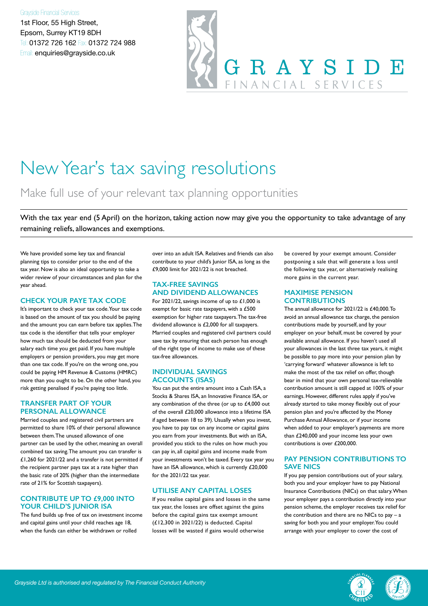#### Grayside Financial Services

1st Floor, 55 High Street, Epsom, Surrey KT19 8DH Tel: 01372 726 162 Fax: 01372 724 988 Email: enquiries@grayside.co.uk



## New Year's tax saving resolutions

### Make full use of your relevant tax planning opportunities

With the tax year end (5 April) on the horizon, taking action now may give you the opportunity to take advantage of any remaining reliefs, allowances and exemptions.

We have provided some key tax and financial planning tips to consider prior to the end of the tax year. Now is also an ideal opportunity to take a wider review of your circumstances and plan for the year ahead.

#### **CHECK YOUR PAYE TAX CODE**

It's important to check your tax code. Your tax code is based on the amount of tax you should be paying and the amount you can earn before tax applies. The tax code is the identifier that tells your employer how much tax should be deducted from your salary each time you get paid. If you have multiple employers or pension providers, you may get more than one tax code. If you're on the wrong one, you could be paying HM Revenue & Customs (HMRC) more than you ought to be. On the other hand, you risk getting penalised if you're paying too little.

#### **TRANSFER PART OF YOUR PERSONAL ALLOWANCE**

Married couples and registered civil partners are permitted to share 10% of their personal allowance between them. The unused allowance of one partner can be used by the other, meaning an overall combined tax saving. The amount you can transfer is £1,260 for 2021/22 and a transfer is not permitted if the recipient partner pays tax at a rate higher than the basic rate of 20% (higher than the intermediate rate of 21% for Scottish taxpayers).

#### **CONTRIBUTE UP TO £9,000 INTO YOUR CHILD'S JUNIOR ISA**

The fund builds up free of tax on investment income and capital gains until your child reaches age 18, when the funds can either be withdrawn or rolled

over into an adult ISA. Relatives and friends can also contribute to your child's Junior ISA, as long as the £9,000 limit for 2021/22 is not breached.

#### **TAX-FREE SAVINGS AND DIVIDEND ALLOWANCES**

For 2021/22, savings income of up to £1,000 is exempt for basic rate taxpayers, with a £500 exemption for higher rate taxpayers. The tax-free dividend allowance is £2,000 for all taxpayers. Married couples and registered civil partners could save tax by ensuring that each person has enough of the right type of income to make use of these tax-free allowances.

#### **INDIVIDUAL SAVINGS ACCOUNTS (ISAS)**

You can put the entire amount into a Cash ISA, a Stocks & Shares ISA, an Innovative Finance ISA, or any combination of the three (or up to £4,000 out of the overall £20,000 allowance into a lifetime ISA if aged between 18 to 39). Usually when you invest, you have to pay tax on any income or capital gains you earn from your investments. But with an ISA, provided you stick to the rules on how much you can pay in, all capital gains and income made from your investments won't be taxed. Every tax year you have an ISA allowance, which is currently £20,000 for the 2021/22 tax year.

#### **UTILISE ANY CAPITAL LOSES**

If you realise capital gains and losses in the same tax year, the losses are offset against the gains before the capital gains tax exempt amount (£12,300 in 2021/22) is deducted. Capital losses will be wasted if gains would otherwise

be covered by your exempt amount. Consider postponing a sale that will generate a loss until the following tax year, or alternatively realising more gains in the current year.

#### **MAXIMISE PENSION CONTRIBUTIONS**

The annual allowance for 2021/22 is £40,000. To avoid an annual allowance tax charge, the pension contributions made by yourself, and by your employer on your behalf, must be covered by your available annual allowance. If you haven't used all your allowances in the last three tax years, it might be possible to pay more into your pension plan by 'carrying forward' whatever allowance is left to make the most of the tax relief on offer, though bear in mind that your own personal tax-relievable contribution amount is still capped at 100% of your earnings. However, different rules apply if you've already started to take money flexibly out of your pension plan and you're affected by the Money Purchase Annual Allowance, or if your income when added to your employer's payments are more than £240,000 and your income less your own contributions is over £200,000.

#### **PAY PENSION CONTRIBUTIONS TO SAVE NICS**

If you pay pension contributions out of your salary, both you and your employer have to pay National Insurance Contributions (NICs) on that salary. When your employer pays a contribution directly into your pension scheme, the employer receives tax relief for the contribution and there are no NICs to  $pay - a$ saving for both you and your employer. You could arrange with your employer to cover the cost of